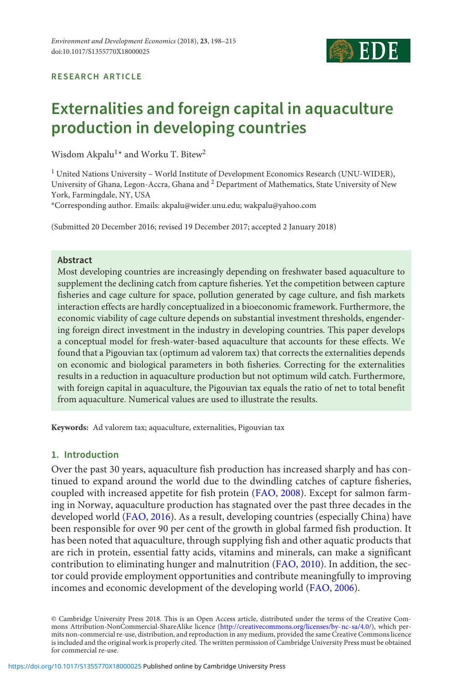

## **RESEARCH ARTICLE**

# **Externalities and foreign capital in aquaculture production in developing countries**

Wisdom Akpalu<sup>1\*</sup> and Worku T. Bitew<sup>2</sup>

<sup>1</sup> United Nations University – World Institute of Development Economics Research (UNU-WIDER), University of Ghana, Legon-Accra, Ghana and <sup>2</sup> Department of Mathematics, State University of New York, Farmingdale, NY, USA

\*Corresponding author. Emails: akpalu@wider.unu.edu; wakpalu@yahoo.com

(Submitted 20 December 2016; revised 19 December 2017; accepted 2 January 2018)

#### **Abstract**

Most developing countries are increasingly depending on freshwater based aquaculture to supplement the declining catch from capture fisheries. Yet the competition between capture fisheries and cage culture for space, pollution generated by cage culture, and fish markets interaction effects are hardly conceptualized in a bioeconomic framework. Furthermore, the economic viability of cage culture depends on substantial investment thresholds, engendering foreign direct investment in the industry in developing countries. This paper develops a conceptual model for fresh-water-based aquaculture that accounts for these effects. We found that a Pigouvian tax (optimum ad valorem tax) that corrects the externalities depends on economic and biological parameters in both fisheries. Correcting for the externalities results in a reduction in aquaculture production but not optimum wild catch. Furthermore, with foreign capital in aquaculture, the Pigouvian tax equals the ratio of net to total benefit from aquaculture. Numerical values are used to illustrate the results.

**Keywords:** Ad valorem tax; aquaculture, externalities, Pigouvian tax

## **1. Introduction**

Over the past 30 years, aquaculture fish production has increased sharply and has continued to expand around the world due to the dwindling catches of capture fisheries, coupled with increased appetite for fish protein [\(FAO](#page-11-0), [2008\)](#page-11-0). Except for salmon farming in Norway, aquaculture production has stagnated over the past three decades in the developed world [\(FAO,](#page-11-1) [2016](#page-11-1)). As a result, developing countries (especially China) have been responsible for over 90 per cent of the growth in global farmed fish production. It has been noted that aquaculture, through supplying fish and other aquatic products that are rich in protein, essential fatty acids, vitamins and minerals, can make a significant contribution to eliminating hunger and malnutrition [\(FAO,](#page-11-2) [2010\)](#page-11-2). In addition, the sector could provide employment opportunities and contribute meaningfully to improving incomes and economic development of the developing world [\(FAO](#page-11-3), [2006\)](#page-11-3).

© Cambridge University Press 2018. This is an Open Access article, distributed under the terms of the Creative Commons Attribution-NonCommercial-ShareAlike licence [\(http://creativecommons.org/licenses/by-nc-sa/4.0/\)](http://creativecommons.org/licenses/by-nc-sa/4.0/), which permits non-commercial re-use, distribution, and reproduction in any medium, provided the same Creative Commons licence is included and the original work is properly cited. The written permission of Cambridge University Press must be obtained for commercial re-use.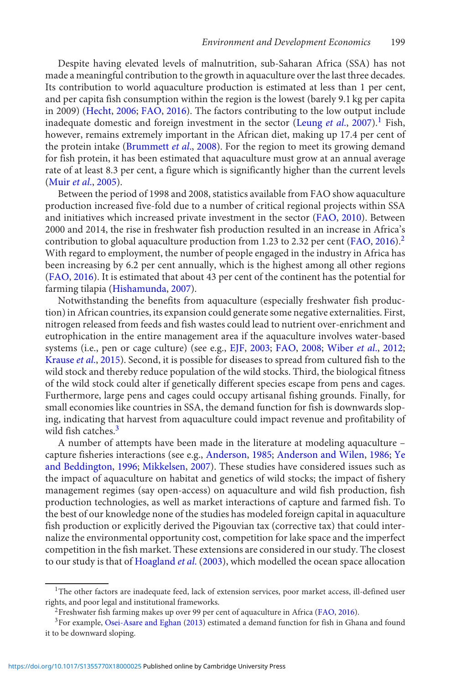Despite having elevated levels of malnutrition, sub-Saharan Africa (SSA) has not made a meaningful contribution to the growth in aquaculture over the last three decades. Its contribution to world aquaculture production is estimated at less than 1 per cent, and per capita fish consumption within the region is the lowest (barely 9.1 kg per capita in 2009) [\(Hecht](#page-11-4), [2006;](#page-11-4) [FAO,](#page-11-1) [2016](#page-11-1)). The factors contributing to the low output include inadequate domestic and foreign investment in the sector [\(Leung](#page-11-5) *et al.*, [2007](#page-11-5)).<sup>1</sup> Fish, however, remains extremely important in the African diet, making up 17.4 per cent of the protein intake [\(Brummett](#page-11-6) *et al*., [2008\)](#page-11-6). For the region to meet its growing demand for fish protein, it has been estimated that aquaculture must grow at an annual average rate of at least 8.3 per cent, a figure which is significantly higher than the current levels [\(Muir](#page-11-7) *et al*., [2005](#page-11-7)).

Between the period of 1998 and 2008, statistics available from FAO show aquaculture production increased five-fold due to a number of critical regional projects within SSA and initiatives which increased private investment in the sector [\(FAO,](#page-11-2) [2010](#page-11-2)). Between 2000 and 2014, the rise in freshwater fish production resulted in an increase in Africa's contribution to global aquaculture production from 1.23 to 2.32 per cent [\(FAO](#page-11-1), [2016](#page-11-1)).<sup>2</sup> With regard to employment, the number of people engaged in the industry in Africa has been increasing by 6.2 per cent annually, which is the highest among all other regions [\(FAO](#page-11-1), [2016](#page-11-1)). It is estimated that about 43 per cent of the continent has the potential for farming tilapia [\(Hishamunda](#page-11-8), [2007](#page-11-8)).

Notwithstanding the benefits from aquaculture (especially freshwater fish production) in African countries, its expansion could generate some negative externalities. First, nitrogen released from feeds and fish wastes could lead to nutrient over-enrichment and eutrophication in the entire management area if the aquaculture involves water-based systems (i.e., pen or cage culture) (see e.g., [EJF,](#page-11-9) [2003](#page-11-9); [FAO,](#page-11-0) [2008;](#page-11-0) [Wiber](#page-11-10) *et al*., [2012;](#page-11-10) [Krause](#page-11-11) *et al*., [2015\)](#page-11-11). Second, it is possible for diseases to spread from cultured fish to the wild stock and thereby reduce population of the wild stocks. Third, the biological fitness of the wild stock could alter if genetically different species escape from pens and cages. Furthermore, large pens and cages could occupy artisanal fishing grounds. Finally, for small economies like countries in SSA, the demand function for fish is downwards sloping, indicating that harvest from aquaculture could impact revenue and profitability of wild fish catches.<sup>3</sup>

A number of attempts have been made in the literature at modeling aquaculture – capture fisherie[s](#page-11-14) [interactions](#page-11-14) [\(see](#page-11-14) [e.g.,](#page-11-14) [Anderson](#page-11-12), [1985;](#page-11-12) [Anderson and Wilen](#page-11-13), [1986;](#page-11-13) Ye and Beddington, [1996;](#page-11-14) [Mikkelsen](#page-11-15), [2007\)](#page-11-15). These studies have considered issues such as the impact of aquaculture on habitat and genetics of wild stocks; the impact of fishery management regimes (say open-access) on aquaculture and wild fish production, fish production technologies, as well as market interactions of capture and farmed fish. To the best of our knowledge none of the studies has modeled foreign capital in aquaculture fish production or explicitly derived the Pigouvian tax (corrective tax) that could internalize the environmental opportunity cost, competition for lake space and the imperfect competition in the fish market. These extensions are considered in our study. The closest to our study is that of [Hoagland](#page-11-16) *et al*. [\(2003](#page-11-16)), which modelled the ocean space allocation

<sup>&</sup>lt;sup>1</sup>The other factors are inadequate feed, lack of extension services, poor market access, ill-defined user rights, and poor legal and institutional frameworks.

<span id="page-1-1"></span><span id="page-1-0"></span><sup>&</sup>lt;sup>2</sup>Freshwater fish farming makes up over 99 per cent of aquaculture in Africa [\(FAO](#page-11-1), [2016](#page-11-1)).

<span id="page-1-2"></span><sup>3</sup>For example, [Osei-Asare and Eghan](#page-11-17) [\(2013](#page-11-17)) estimated a demand function for fish in Ghana and found it to be downward sloping.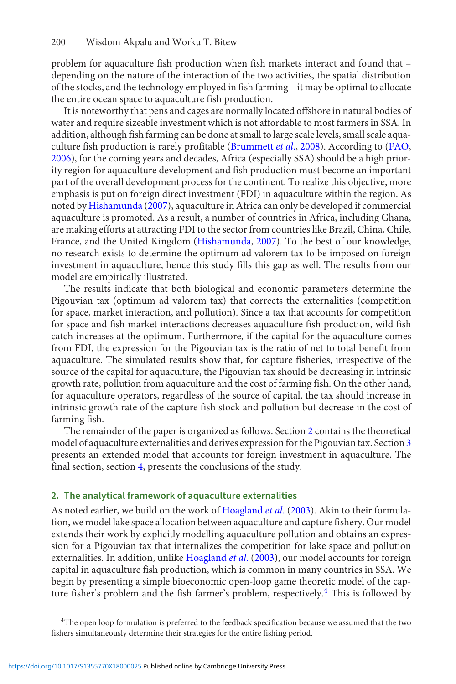problem for aquaculture fish production when fish markets interact and found that – depending on the nature of the interaction of the two activities, the spatial distribution of the stocks, and the technology employed in fish farming – it may be optimal to allocate the entire ocean space to aquaculture fish production.

It is noteworthy that pens and cages are normally located offshore in natural bodies of water and require sizeable investment which is not affordable to most farmers in SSA. In addition, although fish farming can be done at small to large scale levels, small scale aquaculture fish production is rarely profitable [\(Brummett](#page-11-6) *et al*., [2008](#page-11-6)). According to [\(FAO](#page-11-3), [2006](#page-11-3)), for the coming years and decades, Africa (especially SSA) should be a high priority region for aquaculture development and fish production must become an important part of the overall development process for the continent. To realize this objective, more emphasis is put on foreign direct investment (FDI) in aquaculture within the region. As noted by [Hishamunda](#page-11-8) [\(2007](#page-11-8)), aquaculture in Africa can only be developed if commercial aquaculture is promoted. As a result, a number of countries in Africa, including Ghana, are making efforts at attracting FDI to the sector from countries like Brazil, China, Chile, France, and the United Kingdom [\(Hishamunda](#page-11-8), [2007](#page-11-8)). To the best of our knowledge, no research exists to determine the optimum ad valorem tax to be imposed on foreign investment in aquaculture, hence this study fills this gap as well. The results from our model are empirically illustrated.

The results indicate that both biological and economic parameters determine the Pigouvian tax (optimum ad valorem tax) that corrects the externalities (competition for space, market interaction, and pollution). Since a tax that accounts for competition for space and fish market interactions decreases aquaculture fish production, wild fish catch increases at the optimum. Furthermore, if the capital for the aquaculture comes from FDI, the expression for the Pigouvian tax is the ratio of net to total benefit from aquaculture. The simulated results show that, for capture fisheries, irrespective of the source of the capital for aquaculture, the Pigouvian tax should be decreasing in intrinsic growth rate, pollution from aquaculture and the cost of farming fish. On the other hand, for aquaculture operators, regardless of the source of capital, the tax should increase in intrinsic growth rate of the capture fish stock and pollution but decrease in the cost of farming fish.

The remainder of the paper is organized as follows. Section [2](#page-2-0) contains the theoretical model of aquaculture externalities and derives expression for the Pigouvian tax. Section [3](#page-8-0) presents an extended model that accounts for foreign investment in aquaculture. The final section, section [4,](#page-10-0) presents the conclusions of the study.

## <span id="page-2-0"></span>**2. The analytical framework of aquaculture externalities**

As noted earlier, we build on the work of [Hoagland](#page-11-16) *et al*. [\(2003](#page-11-16)). Akin to their formulation, we model lake space allocation between aquaculture and capture fishery. Our model extends their work by explicitly modelling aquaculture pollution and obtains an expression for a Pigouvian tax that internalizes the competition for lake space and pollution externalities. In addition, unlike [Hoagland](#page-11-16) *et al*. [\(2003](#page-11-16)), our model accounts for foreign capital in aquaculture fish production, which is common in many countries in SSA. We begin by presenting a simple bioeconomic open-loop game theoretic model of the capture fisher's problem and the fish farmer's problem, respectively.<sup>4</sup> This is followed by

<span id="page-2-1"></span><sup>4</sup>The open loop formulation is preferred to the feedback specification because we assumed that the two fishers simultaneously determine their strategies for the entire fishing period.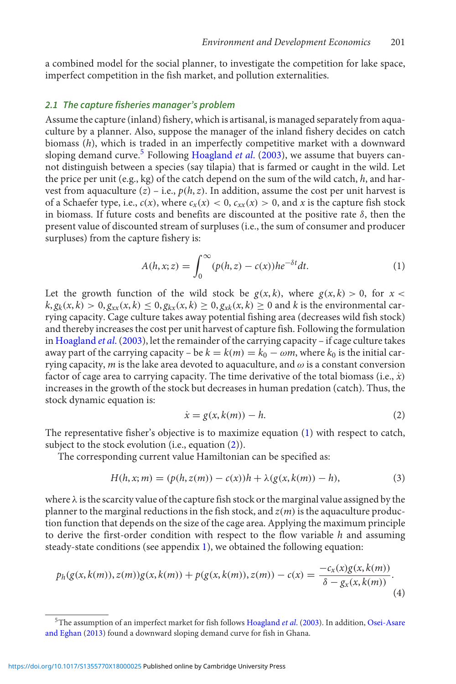a combined model for the social planner, to investigate the competition for lake space, imperfect competition in the fish market, and pollution externalities.

#### *2.1 The capture fisheries manager's problem*

Assume the capture (inland) fishery, which is artisanal, is managed separately from aquaculture by a planner. Also, suppose the manager of the inland fishery decides on catch biomass (*h*), which is traded in an imperfectly competitive market with a downward sloping demand curve.<sup>5</sup> Following [Hoagland](#page-11-16) *et al.* [\(2003\)](#page-11-16), we assume that buyers cannot distinguish between a species (say tilapia) that is farmed or caught in the wild. Let the price per unit (e.g., kg) of the catch depend on the sum of the wild catch, *h*, and harvest from aquaculture  $(z)$  – i.e.,  $p(h, z)$ . In addition, assume the cost per unit harvest is of a Schaefer type, i.e.,  $c(x)$ , where  $c_x(x) < 0$ ,  $c_{xx}(x) > 0$ , and x is the capture fish stock in biomass. If future costs and benefits are discounted at the positive rate  $\delta$ , then the present value of discounted stream of surpluses (i.e., the sum of consumer and producer surpluses) from the capture fishery is:

<span id="page-3-1"></span>
$$
A(h, x; z) = \int_0^\infty (p(h, z) - c(x)) h e^{-\delta t} dt.
$$
 (1)

Let the growth function of the wild stock be  $g(x, k)$ , where  $g(x, k) > 0$ , for  $x <$  $k$ ,  $g_k(x, k) > 0$ ,  $g_{xx}(x, k) \leq 0$ ,  $g_{kx}(x, k) \geq 0$ ,  $g_{xk}(x, k) \geq 0$  and *k* is the environmental carrying capacity. Cage culture takes away potential fishing area (decreases wild fish stock) and thereby increases the cost per unit harvest of capture fish. Following the formulation in [Hoagland](#page-11-16) *et al*.[\(2003](#page-11-16)), let the remainder of the carrying capacity – if cage culture takes away part of the carrying capacity – be  $k = k(m) = k_0 - \omega m$ , where  $k_0$  is the initial carrying capacity,  $m$  is the lake area devoted to aquaculture, and  $\omega$  is a constant conversion factor of cage area to carrying capacity. The time derivative of the total biomass (i.e.,  $\dot{x}$ ) increases in the growth of the stock but decreases in human predation (catch). Thus, the stock dynamic equation is:

<span id="page-3-2"></span>
$$
\dot{x} = g(x, k(m)) - h. \tag{2}
$$

The representative fisher's objective is to maximize equation [\(1\)](#page-3-1) with respect to catch, subject to the stock evolution (i.e., equation [\(2\)](#page-3-2)).

The corresponding current value Hamiltonian can be specified as:

$$
H(h, x; m) = (p(h, z(m)) - c(x))h + \lambda(g(x, k(m)) - h),
$$
\n(3)

where  $\lambda$  is the scarcity value of the capture fish stock or the marginal value assigned by the planner to the marginal reductions in the fish stock, and  $z(m)$  is the aquaculture production function that depends on the size of the cage area. Applying the maximum principle to derive the first-order condition with respect to the flow variable *h* and assuming steady-state conditions (see appendix [1\)](#page-12-0), we obtained the following equation:

<span id="page-3-3"></span>
$$
p_h(g(x, k(m)), z(m))g(x, k(m)) + p(g(x, k(m)), z(m)) - c(x) = \frac{-c_x(x)g(x, k(m))}{\delta - g_x(x, k(m))}.
$$
\n(4)

<span id="page-3-0"></span><sup>5</sup>The as[sumption](#page-11-17) [of](#page-11-17) [an](#page-11-17) [imperfect](#page-11-17) [market](#page-11-17) [for](#page-11-17) [fish](#page-11-17) [follows](#page-11-17) [Hoagland](#page-11-16) *et al*. [\(2003](#page-11-16)). In addition, Osei-Asare and Eghan [\(2013](#page-11-17)) found a downward sloping demand curve for fish in Ghana.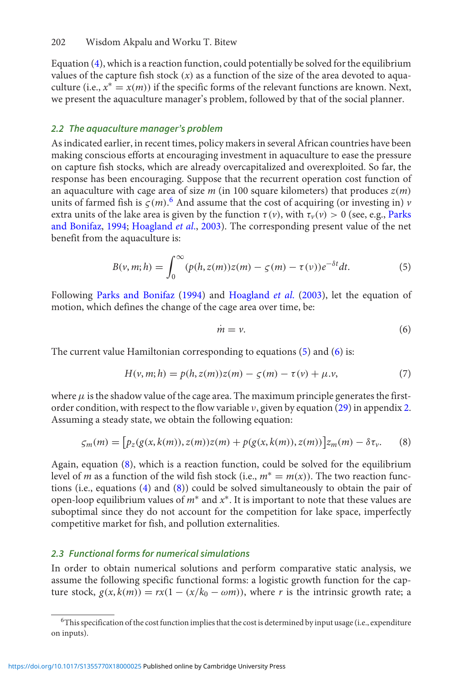Equation [\(4\)](#page-3-3), which is a reaction function, could potentially be solved for the equilibrium values of the capture fish stock  $(x)$  as a function of the size of the area devoted to aquaculture (i.e.,  $x^* = x(m)$ ) if the specific forms of the relevant functions are known. Next, we present the aquaculture manager's problem, followed by that of the social planner.

## *2.2 The aquaculture manager's problem*

As indicated earlier, in recent times, policy makers in several African countries have been making conscious efforts at encouraging investment in aquaculture to ease the pressure on capture fish stocks, which are already overcapitalized and overexploited. So far, the response has been encouraging. Suppose that the recurrent operation cost function of an aquaculture with cage area of size *m* (in 100 square kilometers) that produces *z*(*m*) units of farmed fish is  $\zeta(m)$ .<sup>[6](#page-4-0)</sup> And assume that the cost of acquiring (or investing in) *v* extra units [of the lake area is given by the function](#page-11-18)  $\tau(\nu)$ , with  $\tau_{\nu}(\nu) > 0$  (see, e.g., Parks and Bonifaz, [1994;](#page-11-18) [Hoagland](#page-11-16) *et al*., [2003\)](#page-11-16). The corresponding present value of the net benefit from the aquaculture is:

<span id="page-4-1"></span>
$$
B(v, m; h) = \int_0^\infty (p(h, z(m))z(m) - \varsigma(m) - \tau(v))e^{-\delta t}dt.
$$
 (5)

Following [Parks and Bonifaz](#page-11-18) [\(1994\)](#page-11-18) and [Hoagland](#page-11-16) *et al*. [\(2003](#page-11-16)), let the equation of motion, which defines the change of the cage area over time, be:

<span id="page-4-2"></span>
$$
\dot{m} = v. \tag{6}
$$

The current value Hamiltonian corresponding to equations [\(5\)](#page-4-1) and [\(6\)](#page-4-2) is:

$$
H(v, m; h) = p(h, z(m))z(m) - \zeta(m) - \tau(v) + \mu.v,
$$
\n(7)

where  $\mu$  is the shadow value of the cage area. The maximum principle generates the firstorder condition, with respect to the flow variable  $\nu$ , given by equation [\(29\)](#page-12-1) in appendix [2.](#page-12-2) Assuming a steady state, we obtain the following equation:

<span id="page-4-3"></span>
$$
\varsigma_m(m) = [p_z(g(x, k(m)), z(m))z(m) + p(g(x, k(m)), z(m))]z_m(m) - \delta \tau_v.
$$
 (8)

Again, equation [\(8\)](#page-4-3), which is a reaction function, could be solved for the equilibrium level of *m* as a function of the wild fish stock (i.e.,  $m^* = m(x)$ ). The two reaction functions (i.e., equations [\(4\)](#page-3-3) and [\(8\)](#page-4-3)) could be solved simultaneously to obtain the pair of open-loop equilibrium values of *m*∗ and *x*∗. It is important to note that these values are suboptimal since they do not account for the competition for lake space, imperfectly competitive market for fish, and pollution externalities.

# *2.3 Functional forms for numerical simulations*

In order to obtain numerical solutions and perform comparative static analysis, we assume the following specific functional forms: a logistic growth function for the capture stock,  $g(x, k(m)) = rx(1 - (x/k_0 - \omega m))$ , where *r* is the intrinsic growth rate; a

<span id="page-4-0"></span><sup>6</sup>This specification of the cost function implies that the cost is determined by input usage (i.e., expenditure on inputs).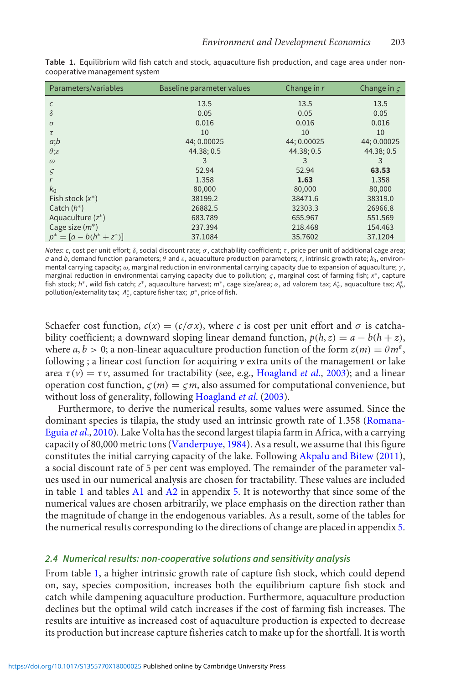| Baseline parameter values | Change in $r$ | Change in $\varsigma$ |
|---------------------------|---------------|-----------------------|
| 13.5                      | 13.5          | 13.5                  |
| 0.05                      | 0.05          | 0.05                  |
| 0.016                     | 0.016         | 0.016                 |
| 10                        | 10            | 10                    |
| 44; 0.00025               | 44; 0.00025   | 44; 0.00025           |
| 44.38; 0.5                | 44.38; 0.5    | 44.38; 0.5            |
| 3                         | 3             | 3                     |
| 52.94                     | 52.94         | 63.53                 |
| 1.358                     | 1.63          | 1.358                 |
| 80,000                    | 80,000        | 80,000                |
| 38199.2                   | 38471.6       | 38319.0               |
| 26882.5                   | 32303.3       | 26966.8               |
| 683.789                   | 655.967       | 551.569               |
| 237.394                   | 218.468       | 154.463               |
| 37.1084                   | 35.7602       | 37.1204               |
|                           |               |                       |

<span id="page-5-0"></span>**Table 1.** Equilibrium wild fish catch and stock, aquaculture fish production, and cage area under noncooperative management system

*Notes*: *c*, cost per unit effort; δ, social discount rate; σ, catchability coefficient; τ, price per unit of additional cage area; *a* and *b*, demand function parameters; θ and ε, aquaculture production parameters; *r*, intrinsic growth rate; *k*0, environmental carrying capacity;  $\omega$ , marginal reduction in environmental carrying capacity due to expansion of aquaculture;  $\gamma$ , marginal reduction in environmental carrying capacity due to pollution; ς, marginal cost of farming fish; *x*∗, capture fish stock; *h*∗, wild fish catch; *z*∗, aquaculture harvest; *m*∗, cage size/area; α, ad valorem tax; *A*∗ *<sup>a</sup>*, aquaculture tax; *A*<sup>∗</sup> *p*, pollution/externality tax; *A*∗ *<sup>c</sup>* , capture fisher tax; *p*∗, price of fish.

Schaefer cost function,  $c(x) = (c/\sigma x)$ , where *c* is cost per unit effort and  $\sigma$  is catchability coefficient; a downward sloping linear demand function,  $p(h, z) = a - b(h + z)$ , where  $a, b > 0$ ; a non-linear aquaculture production function of the form  $z(m) = \theta m^{\varepsilon}$ , following ; a linear cost function for acquiring *v* extra units of the management or lake area  $\tau(v) = \tau v$ , assumed for tractability (see, e.g., [Hoagland](#page-11-16) *et al.*, [2003\)](#page-11-16); and a linear operation cost function,  $\varsigma(m) = \varsigma m$ , also assumed for computational convenience, but without loss of generality, following [Hoagland](#page-11-16) *et al*. [\(2003](#page-11-16)).

Furthermore, to derive the numerical results, some values were assumed. Since the dominant [species is tilapia, the study used an intrinsic growth rate of 1.358 \(](#page-11-20)Romana-Eguia *et al*., [2010\)](#page-11-20). Lake Volta has the second largest tilapia farm in Africa, with a carrying capacity of 80,000 metric tons [\(Vanderpuye](#page-11-21), [1984\)](#page-11-21). As a result, we assume that this figure constitutes the initial carrying capacity of the lake. Following [Akpalu and Bitew](#page-11-22) [\(2011](#page-11-22)), a social discount rate of 5 per cent was employed. The remainder of the parameter values used in our numerical analysis are chosen for tractability. These values are included in table [1](#page-5-0) and tables [A1](#page-16-0) and [A2](#page-17-0) in appendix [5.](#page-16-1) It is noteworthy that since some of the numerical values are chosen arbitrarily, we place emphasis on the direction rather than the magnitude of change in the endogenous variables. As a result, some of the tables for the numerical results corresponding to the directions of change are placed in appendix [5.](#page-16-1)

# *2.4 Numerical results: non-cooperative solutions and sensitivity analysis*

From table [1,](#page-5-0) a higher intrinsic growth rate of capture fish stock, which could depend on, say, species composition, increases both the equilibrium capture fish stock and catch while dampening aquaculture production. Furthermore, aquaculture production declines but the optimal wild catch increases if the cost of farming fish increases. The results are intuitive as increased cost of aquaculture production is expected to decrease its production but increase capture fisheries catch to make up for the shortfall. It is worth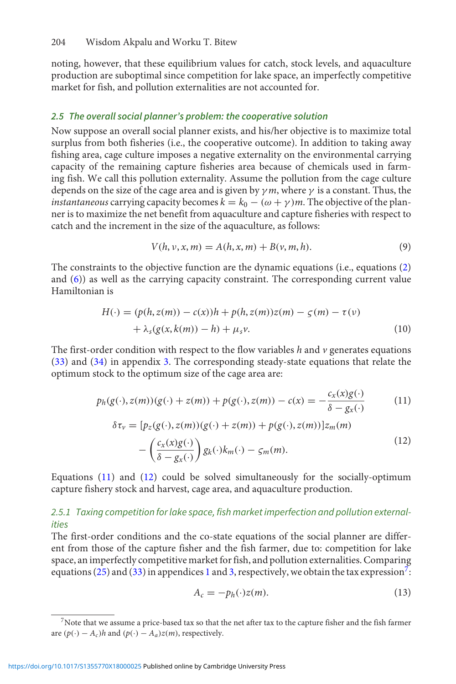noting, however, that these equilibrium values for catch, stock levels, and aquaculture production are suboptimal since competition for lake space, an imperfectly competitive market for fish, and pollution externalities are not accounted for.

## *2.5 The overall social planner's problem: the cooperative solution*

Now suppose an overall social planner exists, and his/her objective is to maximize total surplus from both fisheries (i.e., the cooperative outcome). In addition to taking away fishing area, cage culture imposes a negative externality on the environmental carrying capacity of the remaining capture fisheries area because of chemicals used in farming fish. We call this pollution externality. Assume the pollution from the cage culture depends on the size of the cage area and is given by  $\gamma$  *m*, where  $\gamma$  is a constant. Thus, the *instantaneous* carrying capacity becomes  $k = k_0 - (\omega + \gamma)m$ . The objective of the planner is to maximize the net benefit from aquaculture and capture fisheries with respect to catch and the increment in the size of the aquaculture, as follows:

$$
V(h, v, x, m) = A(h, x, m) + B(v, m, h).
$$
 (9)

The constraints to the objective function are the dynamic equations (i.e., equations [\(2\)](#page-3-2) and [\(6\)](#page-4-2)) as well as the carrying capacity constraint. The corresponding current value Hamiltonian is

$$
H(\cdot) = (p(h, z(m)) - c(x))h + p(h, z(m))z(m) - \varsigma(m) - \tau(\nu)
$$
  
+  $\lambda_s(g(x, k(m)) - h) + \mu_s \nu.$  (10)

The first-order condition with respect to the flow variables *h* and *v* generates equations [\(33\)](#page-13-0) and [\(34\)](#page-13-1) in appendix [3.](#page-13-2) The corresponding steady-state equations that relate the optimum stock to the optimum size of the cage area are:

$$
p_h(g(\cdot), z(m))(g(\cdot) + z(m)) + p(g(\cdot), z(m)) - c(x) = -\frac{c_x(x)g(\cdot)}{\delta - g_x(\cdot)}
$$
(11)

$$
\delta \tau_{v} = [p_{z}(g(\cdot), z(m))(g(\cdot) + z(m)) + p(g(\cdot), z(m))]z_{m}(m)
$$

$$
-\left(\frac{c_{x}(x)g(\cdot)}{\delta - g_{x}(\cdot)}\right)g_{k}(\cdot)k_{m}(\cdot) - \varsigma_{m}(m).
$$
\n(12)

Equations [\(11\)](#page-6-0) and [\(12\)](#page-6-1) could be solved simultaneously for the socially-optimum capture fishery stock and harvest, cage area, and aquaculture production.

# *2.5.1 Taxing competition for lake space, fish market imperfection and pollution externalities*

The first-order conditions and the co-state equations of the social planner are different from those of the capture fisher and the fish farmer, due to: competition for lake space, an imperfectly competitive market for fish, and pollution externalities. Comparing equations [\(25\)](#page-12-3) and [\(33\)](#page-13-0) in appendices [1](#page-12-0) and [3,](#page-13-2) respectively, we obtain the tax expression<sup> $\cdot$ </sup>:

<span id="page-6-3"></span><span id="page-6-1"></span><span id="page-6-0"></span>
$$
A_c = -p_h(\cdot)z(m). \tag{13}
$$

<span id="page-6-2"></span><sup>7</sup>Note that we assume a price-based tax so that the net after tax to the capture fisher and the fish farmer are  $(p(\cdot) - A_c)h$  and  $(p(\cdot) - A_a)z(m)$ , respectively.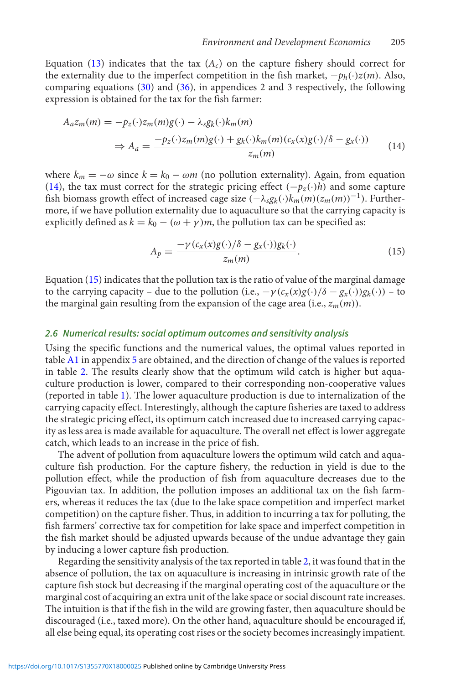Equation [\(13\)](#page-6-3) indicates that the tax  $(A<sub>c</sub>)$  on the capture fishery should correct for the externality due to the imperfect competition in the fish market, −*ph*(·)*z*(*m*). Also, comparing equations [\(30\)](#page-12-4) and [\(36\)](#page-13-3), in appendices 2 and 3 respectively, the following expression is obtained for the tax for the fish farmer:

$$
A_a z_m(m) = -p_z(\cdot) z_m(m) g(\cdot) - \lambda_s g_k(\cdot) k_m(m)
$$
  

$$
\Rightarrow A_a = \frac{-p_z(\cdot) z_m(m) g(\cdot) + g_k(\cdot) k_m(m) (c_x(x) g(\cdot) / \delta - g_x(\cdot))}{z_m(m)}
$$
(14)

where  $k_m = -\omega$  since  $k = k_0 - \omega m$  (no pollution externality). Again, from equation [\(14\)](#page-7-0), the tax must correct for the strategic pricing effect  $(-p_z(\cdot)h)$  and some capture fish biomass growth effect of increased cage size (−λ*sgk*(·)*km*(*m*)(*zm*(*m*))−1). Furthermore, if we have pollution externality due to aquaculture so that the carrying capacity is explicitly defined as  $k = k_0 - (\omega + \gamma)m$ , the pollution tax can be specified as:

<span id="page-7-1"></span><span id="page-7-0"></span>
$$
A_p = \frac{-\gamma (c_x(x)g(\cdot)/\delta - g_x(\cdot))g_k(\cdot)}{z_m(m)}.\tag{15}
$$

Equation [\(15\)](#page-7-1) indicates that the pollution tax is the ratio of value of the marginal damage to the carrying capacity – due to the pollution (i.e.,  $-\gamma$  ( $c_x(x)g(\cdot)/\delta - g_x(\cdot)g_k(\cdot)$ ) – to the marginal gain resulting from the expansion of the cage area (i.e.,  $z_m(m)$ ).

#### *2.6 Numerical results: social optimum outcomes and sensitivity analysis*

Using the specific functions and the numerical values, the optimal values reported in table [A1](#page-16-0) in appendix [5](#page-16-1) are obtained, and the direction of change of the values is reported in table [2.](#page-8-1) The results clearly show that the optimum wild catch is higher but aquaculture production is lower, compared to their corresponding non-cooperative values (reported in table [1\)](#page-5-0). The lower aquaculture production is due to internalization of the carrying capacity effect. Interestingly, although the capture fisheries are taxed to address the strategic pricing effect, its optimum catch increased due to increased carrying capacity as less area is made available for aquaculture. The overall net effect is lower aggregate catch, which leads to an increase in the price of fish.

The advent of pollution from aquaculture lowers the optimum wild catch and aquaculture fish production. For the capture fishery, the reduction in yield is due to the pollution effect, while the production of fish from aquaculture decreases due to the Pigouvian tax. In addition, the pollution imposes an additional tax on the fish farmers, whereas it reduces the tax (due to the lake space competition and imperfect market competition) on the capture fisher. Thus, in addition to incurring a tax for polluting, the fish farmers' corrective tax for competition for lake space and imperfect competition in the fish market should be adjusted upwards because of the undue advantage they gain by inducing a lower capture fish production.

Regarding the sensitivity analysis of the tax reported in table [2,](#page-8-1) it was found that in the absence of pollution, the tax on aquaculture is increasing in intrinsic growth rate of the capture fish stock but decreasing if the marginal operating cost of the aquaculture or the marginal cost of acquiring an extra unit of the lake space or social discount rate increases. The intuition is that if the fish in the wild are growing faster, then aquaculture should be discouraged (i.e., taxed more). On the other hand, aquaculture should be encouraged if, all else being equal, its operating cost rises or the society becomes increasingly impatient.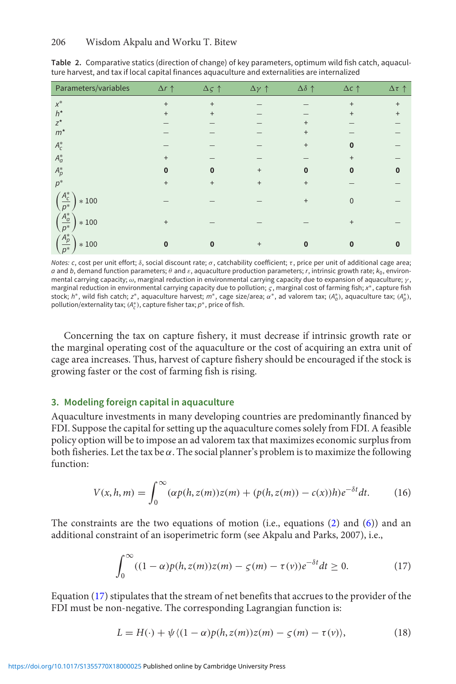| Parameters/variables                      | $\Delta r \uparrow$ | $\Delta \zeta$ $\uparrow$        | $\Delta \gamma$ $\uparrow$ | $\Delta\delta$ $\uparrow$ | $\Delta c \uparrow$ | $\Delta \tau$ $\uparrow$         |
|-------------------------------------------|---------------------|----------------------------------|----------------------------|---------------------------|---------------------|----------------------------------|
| $\chi^*$                                  | $^{+}$              | $\begin{array}{c} + \end{array}$ |                            |                           | $\ddot{}$           | $\begin{array}{c} + \end{array}$ |
| $h^*$                                     | $+$                 | $+$                              |                            |                           | $^{+}$              | $\begin{array}{c} + \end{array}$ |
| $z^*$                                     |                     |                                  |                            | $^{+}$                    |                     |                                  |
| $m^*$                                     |                     |                                  |                            | $\ddot{}$                 |                     |                                  |
| $A_c^\ast$                                |                     |                                  |                            | $^{+}$                    | $\Omega$            |                                  |
| $A^*_a$                                   | $^{+}$              |                                  |                            |                           | $^{+}$              |                                  |
| $A_p^{\ast}$                              | $\Omega$            | $\Omega$                         | $^{+}$                     | $\Omega$                  | $\Omega$            |                                  |
| $p^*$                                     | $^{+}$              | $+$                              | $^{+}$                     | $^{+}$                    |                     |                                  |
| $\frac{A_c^*}{p^*}$<br>$\ast$ 100         |                     |                                  |                            | $^{+}$                    | $\Omega$            |                                  |
| $\overrightarrow{A_{\alpha}^*}$<br>$*100$ | $\ddot{}$           |                                  |                            |                           | $^{+}$              |                                  |
| $A_p^*$<br>$p^*$<br>$*100$                | U                   | $\mathbf{0}$                     | $^{+}$                     | 0                         | $\bf{0}$            |                                  |

<span id="page-8-1"></span>**Table 2.** Comparative statics (direction of change) of key parameters, optimum wild fish catch, aquaculture harvest, and tax if local capital finances aquaculture and externalities are internalized

*Notes: c*, cost per unit effort; δ, social discount rate; σ, catchability coefficient; τ, price per unit of additional cage area; *a* and *b*, demand function parameters; θ and ε, aquaculture production parameters; *r*, intrinsic growth rate; *k*0, environmental carrying capacity;  $\omega$ , marginal reduction in environmental carrying capacity due to expansion of aquaculture;  $\gamma$ , marginal reduction in environmental carrying capacity due to pollution; ς, marginal cost of farming fish; *x*∗, capture fish stock; *h*∗, wild fish catch; *z*∗, aquaculture harvest; *m*∗, cage size/area; α∗, ad valorem tax; (*A*∗ *<sup>a</sup>*), aquaculture tax; (*A*<sup>∗</sup> *p*), pollution/externality tax; (*A*∗ *<sup>c</sup>* ), capture fisher tax; *p*∗, price of fish.

Concerning the tax on capture fishery, it must decrease if intrinsic growth rate or the marginal operating cost of the aquaculture or the cost of acquiring an extra unit of cage area increases. Thus, harvest of capture fishery should be encouraged if the stock is growing faster or the cost of farming fish is rising.

## <span id="page-8-0"></span>**3. Modeling foreign capital in aquaculture**

Aquaculture investments in many developing countries are predominantly financed by FDI. Suppose the capital for setting up the aquaculture comes solely from FDI. A feasible policy option will be to impose an ad valorem tax that maximizes economic surplus from both fisheries. Let the tax be  $\alpha$ . The social planner's problem is to maximize the following function:

$$
V(x,h,m) = \int_0^\infty (\alpha p(h,z(m))z(m) + (p(h,z(m)) - c(x))h)e^{-\delta t}dt.
$$
 (16)

The constraints are the two equations of motion (i.e., equations [\(2\)](#page-3-2) and [\(6\)](#page-4-2)) and an additional constraint of an isoperimetric form (see Akpalu and Parks, 2007), i.e.,

<span id="page-8-2"></span>
$$
\int_0^\infty ((1-\alpha)p(h,z(m))z(m)-\varsigma(m)-\tau(v))e^{-\delta t}dt\geq 0.
$$
 (17)

Equation [\(17\)](#page-8-2) stipulates that the stream of net benefits that accrues to the provider of the FDI must be non-negative. The corresponding Lagrangian function is:

$$
L = H(\cdot) + \psi \langle (1 - \alpha)p(h, z(m))z(m) - \zeta(m) - \tau(\nu) \rangle, \tag{18}
$$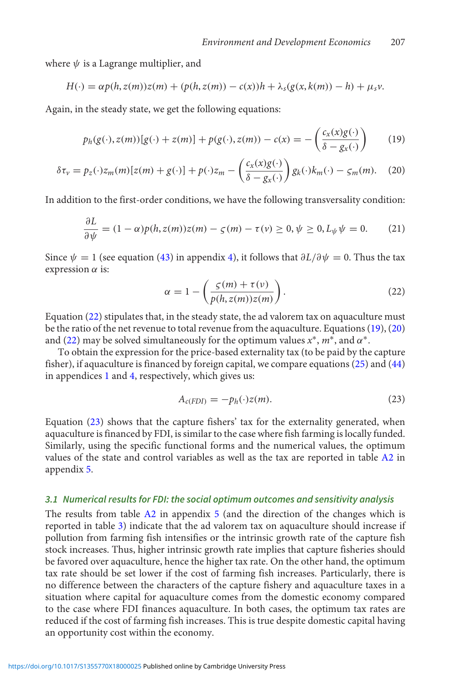where  $\psi$  is a Lagrange multiplier, and

$$
H(\cdot) = \alpha p(h, z(m))z(m) + (p(h, z(m)) - c(x))h + \lambda_s(g(x, k(m)) - h) + \mu_s v.
$$

Again, in the steady state, we get the following equations:

$$
p_h(g(\cdot), z(m))[g(\cdot) + z(m)] + p(g(\cdot), z(m)) - c(x) = -\left(\frac{c_x(x)g(\cdot)}{\delta - g_x(\cdot)}\right) \tag{19}
$$

$$
\delta \tau_{\nu} = p_z(\cdot) z_m(m) [z(m) + g(\cdot)] + p(\cdot) z_m - \left(\frac{c_x(x) g(\cdot)}{\delta - g_x(\cdot)}\right) g_k(\cdot) k_m(\cdot) - \varsigma_m(m). \tag{20}
$$

In addition to the first-order conditions, we have the following transversality condition:

$$
\frac{\partial L}{\partial \psi} = (1 - \alpha)p(h, z(m))z(m) - \varsigma(m) - \tau(\nu) \ge 0, \psi \ge 0, L_{\psi}\psi = 0.
$$
 (21)

Since  $\psi = 1$  (see equation [\(43\)](#page-14-0) in appendix [4\)](#page-14-1), it follows that  $\partial L/\partial \psi = 0$ . Thus the tax expression  $\alpha$  is:

<span id="page-9-2"></span><span id="page-9-1"></span><span id="page-9-0"></span>
$$
\alpha = 1 - \left(\frac{\varsigma(m) + \tau(\upsilon)}{p(h, z(m))z(m)}\right). \tag{22}
$$

Equation [\(22\)](#page-9-0) stipulates that, in the steady state, the ad valorem tax on aquaculture must be the ratio of the net revenue to total revenue from the aquaculture. Equations [\(19\)](#page-9-1), [\(20\)](#page-9-2) and [\(22\)](#page-9-0) may be solved simultaneously for the optimum values  $x^*$ ,  $m^*$ , and  $\alpha^*$ .

To obtain the expression for the price-based externality tax (to be paid by the capture fisher), if aquaculture is financed by foreign capital, we compare equations  $(25)$  and  $(44)$ in appendices [1](#page-12-0) and [4,](#page-14-1) respectively, which gives us:

<span id="page-9-3"></span>
$$
A_{c(FDI)} = -p_h(\cdot)z(m). \tag{23}
$$

Equation [\(23\)](#page-9-3) shows that the capture fishers' tax for the externality generated, when aquaculture is financed by FDI, is similar to the case where fish farming is locally funded. Similarly, using the specific functional forms and the numerical values, the optimum values of the state and control variables as well as the tax are reported in table [A2](#page-17-0) in appendix [5.](#page-16-1)

## *3.1 Numerical results for FDI: the social optimum outcomes and sensitivity analysis*

The results from table [A2](#page-17-0) in appendix [5](#page-16-1) (and the direction of the changes which is reported in table [3\)](#page-10-1) indicate that the ad valorem tax on aquaculture should increase if pollution from farming fish intensifies or the intrinsic growth rate of the capture fish stock increases. Thus, higher intrinsic growth rate implies that capture fisheries should be favored over aquaculture, hence the higher tax rate. On the other hand, the optimum tax rate should be set lower if the cost of farming fish increases. Particularly, there is no difference between the characters of the capture fishery and aquaculture taxes in a situation where capital for aquaculture comes from the domestic economy compared to the case where FDI finances aquaculture. In both cases, the optimum tax rates are reduced if the cost of farming fish increases. This is true despite domestic capital having an opportunity cost within the economy.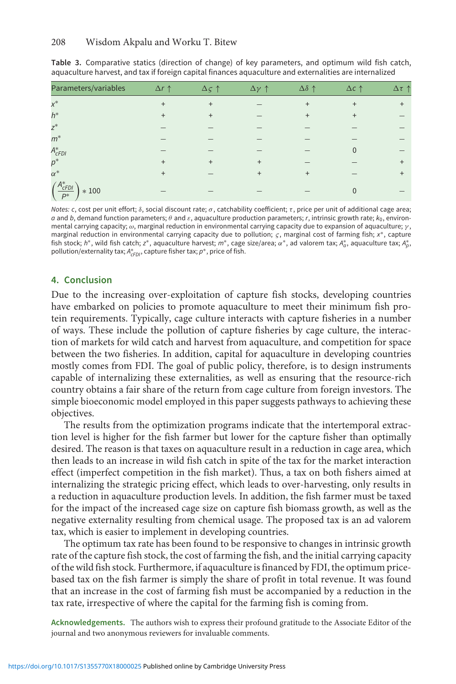| Parameters/variables                                     | $\Delta r \uparrow$ | $\Delta \zeta$ $\uparrow$ | $\Delta \gamma$ 1 | $\Delta\delta$ $\uparrow$ | $\Delta c$ $\uparrow$ | $\Delta \tau$ $\uparrow$ |
|----------------------------------------------------------|---------------------|---------------------------|-------------------|---------------------------|-----------------------|--------------------------|
| $x^*$                                                    | $^{+}$              | $^{+}$                    |                   | $+$                       | $^{+}$                | $^{+}$                   |
| $h^*$                                                    | $^{+}$              | $\ddot{}$                 |                   | $^{+}$                    | $^{+}$                |                          |
| $z^*$                                                    |                     |                           |                   |                           |                       |                          |
| $m^*$                                                    |                     |                           |                   |                           |                       |                          |
| $A_{\text{CFDI}}^*$                                      |                     |                           |                   |                           | $\Omega$              |                          |
| $p^*$                                                    | $^{+}$              | $\ddot{}$                 | $^{+}$            |                           |                       | ÷                        |
| $\alpha^*$                                               | $^{+}$              |                           | $^{+}$            | $\ddot{}$                 |                       |                          |
| $\left(\frac{A_{\textit{CFDI}}^*}{P^*}\right)$<br>$*100$ |                     |                           |                   |                           | $\Omega$              |                          |

<span id="page-10-1"></span>**Table 3.** Comparative statics (direction of change) of key parameters, and optimum wild fish catch, aquaculture harvest, and tax if foreign capital finances aquaculture and externalities are internalized

*Notes: c*, cost per unit effort; δ, social discount rate; σ, catchability coefficient; τ, price per unit of additional cage area; *a* and *b*, demand function parameters; θ and ε, aquaculture production parameters; *r*, intrinsic growth rate; *k*0, environmental carrying capacity;  $\omega$ , marginal reduction in environmental carrying capacity due to expansion of aquaculture;  $\gamma$ , marginal reduction in environmental carrying capacity due to pollution; ς, marginal cost of farming fish; *x*∗, capture fish stock; *h*∗, wild fish catch; *z*∗, aquaculture harvest; *m*∗, cage size/area; α∗, ad valorem tax; *A*∗ *<sup>a</sup>*, aquaculture tax; *A*<sup>∗</sup> *p*, pollution/externality tax; *A*∗ *cFDI*, capture fisher tax; *p*∗, price of fish.

#### <span id="page-10-0"></span>**4. Conclusion**

Due to the increasing over-exploitation of capture fish stocks, developing countries have embarked on policies to promote aquaculture to meet their minimum fish protein requirements. Typically, cage culture interacts with capture fisheries in a number of ways. These include the pollution of capture fisheries by cage culture, the interaction of markets for wild catch and harvest from aquaculture, and competition for space between the two fisheries. In addition, capital for aquaculture in developing countries mostly comes from FDI. The goal of public policy, therefore, is to design instruments capable of internalizing these externalities, as well as ensuring that the resource-rich country obtains a fair share of the return from cage culture from foreign investors. The simple bioeconomic model employed in this paper suggests pathways to achieving these objectives.

The results from the optimization programs indicate that the intertemporal extraction level is higher for the fish farmer but lower for the capture fisher than optimally desired. The reason is that taxes on aquaculture result in a reduction in cage area, which then leads to an increase in wild fish catch in spite of the tax for the market interaction effect (imperfect competition in the fish market). Thus, a tax on both fishers aimed at internalizing the strategic pricing effect, which leads to over-harvesting, only results in a reduction in aquaculture production levels. In addition, the fish farmer must be taxed for the impact of the increased cage size on capture fish biomass growth, as well as the negative externality resulting from chemical usage. The proposed tax is an ad valorem tax, which is easier to implement in developing countries.

The optimum tax rate has been found to be responsive to changes in intrinsic growth rate of the capture fish stock, the cost of farming the fish, and the initial carrying capacity of the wild fish stock. Furthermore, if aquaculture is financed by FDI, the optimum pricebased tax on the fish farmer is simply the share of profit in total revenue. It was found that an increase in the cost of farming fish must be accompanied by a reduction in the tax rate, irrespective of where the capital for the farming fish is coming from.

**Acknowledgements.** The authors wish to express their profound gratitude to the Associate Editor of the journal and two anonymous reviewers for invaluable comments.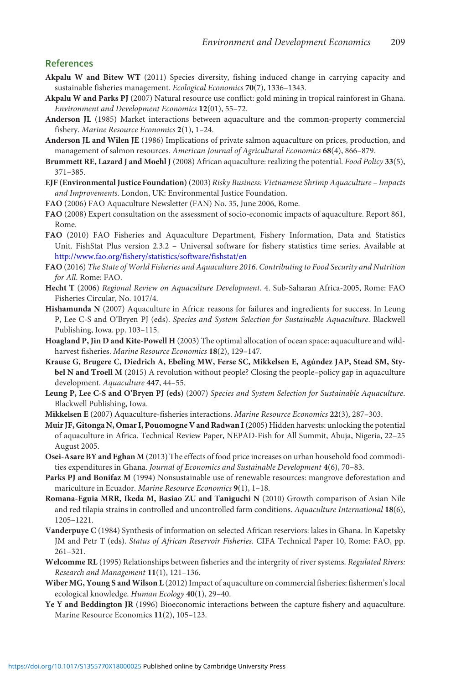## **References**

- <span id="page-11-22"></span>**Akpalu W and Bitew WT** (2011) Species diversity, fishing induced change in carrying capacity and sustainable fisheries management. *Ecological Economics* **70**(7), 1336–1343.
- **Akpalu W and Parks PJ** (2007) Natural resource use conflict: gold mining in tropical rainforest in Ghana. *Environment and Development Economics* **12**(01), 55–72.
- <span id="page-11-12"></span>**Anderson JL** (1985) Market interactions between aquaculture and the common-property commercial fishery. *Marine Resource Economics* **2**(1), 1–24.
- <span id="page-11-13"></span>**Anderson JL and Wilen JE** (1986) Implications of private salmon aquaculture on prices, production, and management of salmon resources. *American Journal of Agricultural Economics* **68**(4), 866–879.
- <span id="page-11-6"></span>**Brummett RE, Lazard J and Moehl J** (2008) African aquaculture: realizing the potential. *Food Policy* **33**(5), 371–385.
- <span id="page-11-9"></span>**EJF (Environmental Justice Foundation)** (2003) *Risky Business: Vietnamese Shrimp Aquaculture – Impacts and Improvements*. London, UK: Environmental Justice Foundation.
- <span id="page-11-3"></span>**FAO** (2006) FAO Aquaculture Newsletter (FAN) No. 35, June 2006, Rome.
- <span id="page-11-0"></span>**FAO** (2008) Expert consultation on the assessment of socio-economic impacts of aquaculture. Report 861, Rome.
- <span id="page-11-2"></span>**FAO** (2010) FAO Fisheries and Aquaculture Department, Fishery Information, Data and Statistics Unit. FishStat Plus version 2.3.2 – Universal software for fishery statistics time series. Available at <http://www.fao.org/fishery/statistics/software/fishstat/en>
- <span id="page-11-1"></span>**FAO** (2016) *The State of World Fisheries and Aquaculture 2016. Contributing to Food Security and Nutrition for All*. Rome: FAO.
- <span id="page-11-4"></span>**Hecht T** (2006) *Regional Review on Aquaculture Development*. 4. Sub-Saharan Africa-2005, Rome: FAO Fisheries Circular, No. 1017/4.
- <span id="page-11-8"></span>**Hishamunda N** (2007) Aquaculture in Africa: reasons for failures and ingredients for success. In Leung P, Lee C-S and O'Bryen PJ (eds). *Species and System Selection for Sustainable Aquaculture*. Blackwell Publishing, Iowa. pp. 103–115.
- <span id="page-11-16"></span>**Hoagland P, Jin D and Kite-Powell H** (2003) The optimal allocation of ocean space: aquaculture and wildharvest fisheries. *Marine Resource Economics* **18**(2), 129–147.
- <span id="page-11-11"></span>**Krause G, Brugere C, Diedrich A, Ebeling MW, Ferse SC, Mikkelsen E, Agúndez JAP, Stead SM, Stybel N and Troell M** (2015) A revolution without people? Closing the people–policy gap in aquaculture development. *Aquaculture* **447**, 44–55.
- <span id="page-11-5"></span>**Leung P, Lee C-S and O'Bryen PJ (eds)** (2007) *Species and System Selection for Sustainable Aquaculture*. Blackwell Publishing, Iowa.
- <span id="page-11-15"></span>**Mikkelsen E** (2007) Aquaculture-fisheries interactions. *Marine Resource Economics* **22**(3), 287–303.
- <span id="page-11-7"></span>**Muir JF, Gitonga N, Omar I, Pouomogne V and Radwan I**(2005) Hidden harvests: unlocking the potential of aquaculture in Africa. Technical Review Paper, NEPAD-Fish for All Summit, Abuja, Nigeria, 22–25 August 2005.
- <span id="page-11-17"></span>**Osei-Asare BY and Eghan M** (2013) The effects of food price increases on urban household food commodities expenditures in Ghana. *Journal of Economics and Sustainable Development* **4**(6), 70–83.
- <span id="page-11-18"></span>Parks PJ and Bonifaz M (1994) Nonsustainable use of renewable resources: mangrove deforestation and mariculture in Ecuador. *Marine Resource Economics* **9**(1), 1–18.
- <span id="page-11-20"></span>**Romana-Eguia MRR, Ikeda M, Basiao ZU and Taniguchi N** (2010) Growth comparison of Asian Nile and red tilapia strains in controlled and uncontrolled farm conditions. *Aquaculture International* **18**(6), 1205–1221.
- <span id="page-11-21"></span>**Vanderpuye C** (1984) Synthesis of information on selected African reserviors: lakes in Ghana. In Kapetsky JM and Petr T (eds). *Status of African Reservoir Fisheries*. CIFA Technical Paper 10, Rome: FAO, pp. 261–321.
- <span id="page-11-19"></span>**Welcomme RL** (1995) Relationships between fisheries and the intergrity of river systems. *Regulated Rivers: Research and Management* **11**(1), 121–136.
- <span id="page-11-10"></span>**Wiber MG, Young S and Wilson L** (2012) Impact of aquaculture on commercial fisheries: fishermen's local ecological knowledge. *Human Ecology* **40**(1), 29–40.
- <span id="page-11-14"></span>**Ye Y and Beddington JR** (1996) Bioeconomic interactions between the capture fishery and aquaculture. Marine Resource Economics **11**(2), 105–123.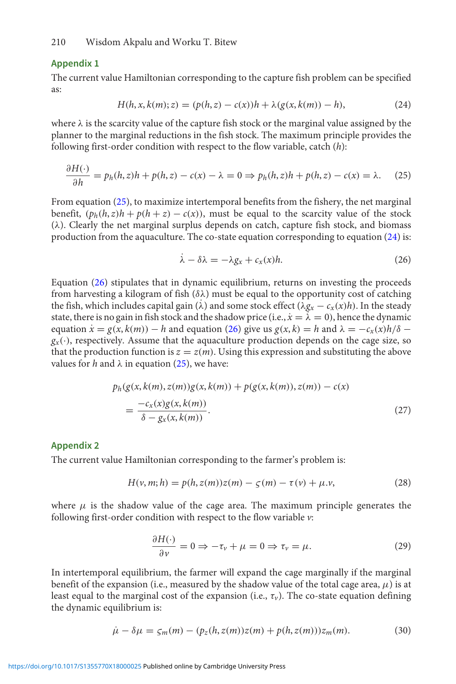#### **Appendix 1**

The current value Hamiltonian corresponding to the capture fish problem can be specified as:

<span id="page-12-5"></span><span id="page-12-0"></span>
$$
H(h, x, k(m); z) = (p(h, z) - c(x))h + \lambda(g(x, k(m)) - h),
$$
\n(24)

where  $\lambda$  is the scarcity value of the capture fish stock or the marginal value assigned by the planner to the marginal reductions in the fish stock. The maximum principle provides the following first-order condition with respect to the flow variable, catch (*h*):

<span id="page-12-3"></span>
$$
\frac{\partial H(\cdot)}{\partial h} = p_h(h, z)h + p(h, z) - c(x) - \lambda = 0 \Rightarrow p_h(h, z)h + p(h, z) - c(x) = \lambda. \tag{25}
$$

From equation [\(25\)](#page-12-3), to maximize intertemporal benefits from the fishery, the net marginal benefit,  $(p_h(h, z)h + p(h + z) - c(x))$ , must be equal to the scarcity value of the stock (λ). Clearly the net marginal surplus depends on catch, capture fish stock, and biomass production from the aquaculture. The co-state equation corresponding to equation  $(24)$  is:

<span id="page-12-6"></span>
$$
\lambda - \delta \lambda = -\lambda g_x + c_x(x)h. \tag{26}
$$

Equation [\(26\)](#page-12-6) stipulates that in dynamic equilibrium, returns on investing the proceeds from harvesting a kilogram of fish  $(\delta \lambda)$  must be equal to the opportunity cost of catching the fish, which includes capital gain ( $\lambda$ ) and some stock effect ( $\lambda g_x - c_x(x)h$ ). In the steady state, there is no gain in fish stock and the shadow price (i.e.,  $\dot{x} = \dot{\lambda} = 0$ ), hence the dynamic equation  $\dot{x} = g(x, k(m)) - h$  and equation [\(26\)](#page-12-6) give us  $g(x, k) = h$  and  $\lambda = -c_x(x)h/\delta$  –  $g_x(\cdot)$ , respectively. Assume that the aquaculture production depends on the cage size, so that the production function is  $z = z(m)$ . Using this expression and substituting the above values for *h* and  $\lambda$  in equation [\(25\)](#page-12-3), we have:

$$
p_h(g(x, k(m), z(m))g(x, k(m)) + p(g(x, k(m)), z(m)) - c(x)
$$
  
= 
$$
\frac{-c_x(x)g(x, k(m))}{\delta - g_x(x, k(m))}.
$$
 (27)

## **Appendix 2**

<span id="page-12-2"></span>The current value Hamiltonian corresponding to the farmer's problem is:

$$
H(v, m; h) = p(h, z(m))z(m) - \zeta(m) - \tau(v) + \mu.v,
$$
\n(28)

where  $\mu$  is the shadow value of the cage area. The maximum principle generates the following first-order condition with respect to the flow variable *v*:

<span id="page-12-1"></span>
$$
\frac{\partial H(\cdot)}{\partial v} = 0 \Rightarrow -\tau_{v} + \mu = 0 \Rightarrow \tau_{v} = \mu.
$$
 (29)

In intertemporal equilibrium, the farmer will expand the cage marginally if the marginal benefit of the expansion (i.e., measured by the shadow value of the total cage area,  $\mu$ ) is at least equal to the marginal cost of the expansion (i.e.,  $\tau_{\nu}$ ). The co-state equation defining the dynamic equilibrium is:

<span id="page-12-4"></span>
$$
\dot{\mu} - \delta \mu = \zeta_m(m) - (p_z(h, z(m))z(m) + p(h, z(m)))z_m(m). \tag{30}
$$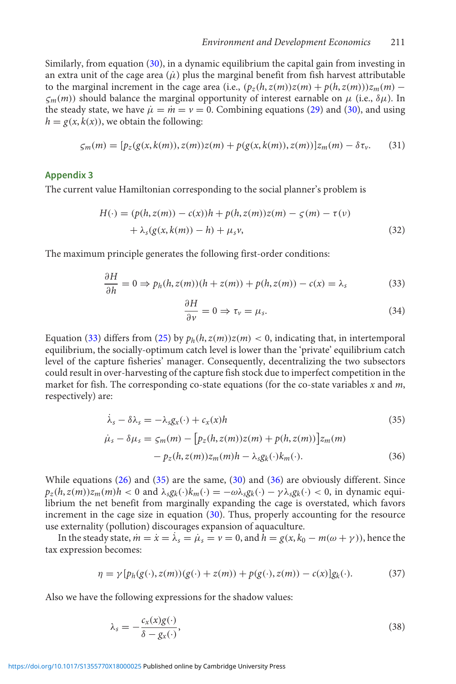Similarly, from equation [\(30\)](#page-12-4), in a dynamic equilibrium the capital gain from investing in an extra unit of the cage area  $(\mu)$  plus the marginal benefit from fish harvest attributable to the marginal increment in the cage area (i.e.,  $(p_z(h, z(m))z(m) + p(h, z(m)))z_m(m)$  –  $\zeta_m(m)$ ) should balance the marginal opportunity of interest earnable on  $\mu$  (i.e.,  $\delta\mu$ ). In the steady state, we have  $\dot{\mu} = \dot{m} = v = 0$ . Combining equations [\(29\)](#page-12-1) and [\(30\)](#page-12-4), and using  $h = g(x, k(x))$ , we obtain the following:

$$
\zeta_m(m) = [p_z(g(x, k(m)), z(m))z(m) + p(g(x, k(m)), z(m))]z_m(m) - \delta \tau_v.
$$
 (31)

# **Appendix 3**

The current value Hamiltonian corresponding to the social planner's problem is

<span id="page-13-2"></span>
$$
H(\cdot) = (p(h, z(m)) - c(x))h + p(h, z(m))z(m) - \zeta(m) - \tau(\nu) + \lambda_s(g(x, k(m)) - h) + \mu_s \nu,
$$
\n(32)

The maximum principle generates the following first-order conditions:

$$
\frac{\partial H}{\partial h} = 0 \Rightarrow p_h(h, z(m))(h + z(m)) + p(h, z(m)) - c(x) = \lambda_s \tag{33}
$$

<span id="page-13-4"></span><span id="page-13-3"></span><span id="page-13-1"></span><span id="page-13-0"></span>
$$
\frac{\partial H}{\partial v} = 0 \Rightarrow \tau_v = \mu_s. \tag{34}
$$

Equation [\(33\)](#page-13-0) differs from [\(25\)](#page-12-3) by  $p_h(h, z(m))z(m) < 0$ , indicating that, in intertemporal equilibrium, the socially-optimum catch level is lower than the 'private' equilibrium catch level of the capture fisheries' manager. Consequently, decentralizing the two subsectors could result in over-harvesting of the capture fish stock due to imperfect competition in the market for fish. The corresponding co-state equations (for the co-state variables *x* and *m*, respectively) are:

$$
\dot{\lambda}_s - \delta \lambda_s = -\lambda_s g_x(\cdot) + c_x(x)h
$$
\n
$$
\dot{\mu}_s - \delta \mu_s = \zeta_m(m) - \left[ p_z(h, z(m))z(m) + p(h, z(m)) \right] z_m(m)
$$
\n
$$
- p_z(h, z(m)) z_m(m)h - \lambda_s g_k(\cdot) k_m(\cdot).
$$
\n(36)

While equations  $(26)$  and  $(35)$  are the same,  $(30)$  and  $(36)$  are obviously different. Since  $p_z(h, z(m))z_m(m)h < 0$  and  $\lambda_s g_k(\cdot)k_m(\cdot) = -\omega\lambda_s g_k(\cdot) - \gamma\lambda_s g_k(\cdot) < 0$ , in dynamic equilibrium the net benefit from marginally expanding the cage is overstated, which favors increment in the cage size in equation  $(30)$ . Thus, properly accounting for the resource use externality (pollution) discourages expansion of aquaculture.

In the steady state,  $\dot{m} = \dot{x} = \dot{\lambda}_s = \dot{\mu}_s = v = 0$ , and  $h = g(x, k_0 - m(\omega + \gamma))$ , hence the tax expression becomes:

$$
\eta = \gamma \left[ p_h(g(\cdot), z(m)) (g(\cdot) + z(m)) + p(g(\cdot), z(m)) - c(x) \right] g_k(\cdot). \tag{37}
$$

Also we have the following expressions for the shadow values:

$$
\lambda_s = -\frac{c_x(x)g(\cdot)}{\delta - g_x(\cdot)},\tag{38}
$$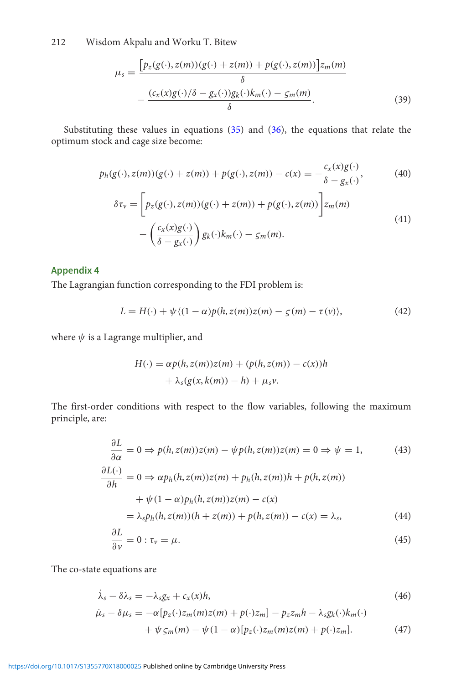212 Wisdom Akpalu and Worku T. Bitew

$$
\mu_{s} = \frac{\left[p_{z}(g(\cdot), z(m))(g(\cdot) + z(m)) + p(g(\cdot), z(m))\right]z_{m}(m)}{\delta} - \frac{(c_{x}(x)g(\cdot)/\delta - g_{x}(\cdot))g_{k}(\cdot)k_{m}(\cdot) - \varsigma_{m}(m)}{\delta} \tag{39}
$$

Substituting these values in equations  $(35)$  and  $(36)$ , the equations that relate the optimum stock and cage size become:

$$
p_h(g(\cdot), z(m))(g(\cdot) + z(m)) + p(g(\cdot), z(m)) - c(x) = -\frac{c_x(x)g(\cdot)}{\delta - g_x(\cdot)},
$$
\n
$$
\delta \tau_v = \left[ p_z(g(\cdot), z(m))(g(\cdot) + z(m)) + p(g(\cdot), z(m)) \right] z_m(m)
$$
\n
$$
-\left( \frac{c_x(x)g(\cdot)}{\delta - g_x(\cdot)} \right) g_k(\cdot) k_m(\cdot) - \zeta_m(m).
$$
\n(41)

# **Appendix 4**

The Lagrangian function corresponding to the FDI problem is:

<span id="page-14-1"></span>
$$
L = H(\cdot) + \psi \langle (1 - \alpha)p(h, z(m))z(m) - \zeta(m) - \tau(\nu) \rangle, \tag{42}
$$

where  $\psi$  is a Lagrange multiplier, and

<span id="page-14-0"></span>
$$
H(\cdot) = \alpha p(h, z(m))z(m) + (p(h, z(m)) - c(x))h
$$
  
+  $\lambda_s(g(x, k(m)) - h) + \mu_s v$ .

The first-order conditions with respect to the flow variables, following the maximum principle, are:

$$
\frac{\partial L}{\partial \alpha} = 0 \Rightarrow p(h, z(m))z(m) - \psi p(h, z(m))z(m) = 0 \Rightarrow \psi = 1,
$$
(43)  

$$
\frac{\partial L(\cdot)}{\partial h} = 0 \Rightarrow \alpha p_h(h, z(m))z(m) + p_h(h, z(m))h + p(h, z(m))
$$

$$
+ \psi(1 - \alpha)p_h(h, z(m))z(m) - c(x)
$$

$$
= \lambda_s p_h(h, z(m))(h + z(m)) + p(h, z(m)) - c(x) = \lambda_s,
$$
(44)

$$
\frac{\partial L}{\partial v} = 0 : \tau_v = \mu. \tag{45}
$$

The co-state equations are  $\mathbf{r}$ 

$$
\lambda_s - \delta \lambda_s = -\lambda_s g_x + c_x(x)h,
$$
\n
$$
\dot{\mu}_s - \delta \mu_s = -\alpha [p_z(\cdot)z_m(m)z(m) + p(\cdot)z_m] - p_z z_m h - \lambda_s g_k(\cdot)k_m(\cdot)
$$
\n(46)

<span id="page-14-2"></span>
$$
+\psi \zeta_m(m) - \psi(1-\alpha)[p_z(\cdot)z_m(m)z(m) + p(\cdot)z_m]. \tag{47}
$$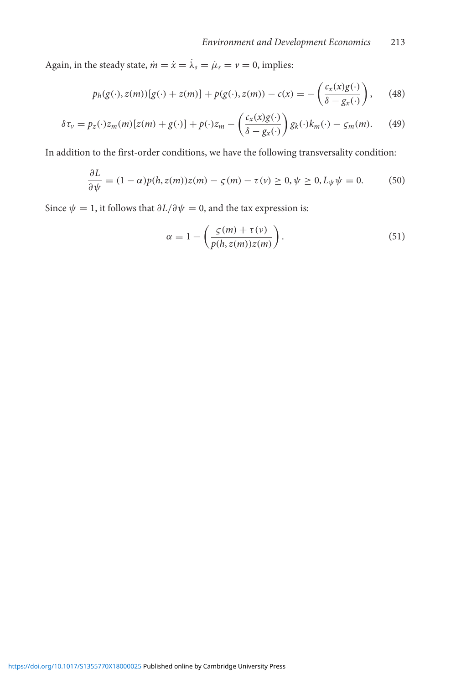Again, in the steady state,  $\dot{m} = \dot{x} = \dot{\lambda}_s = \dot{\mu}_s = v = 0$ , implies:

$$
p_h(g(\cdot), z(m))[g(\cdot) + z(m)] + p(g(\cdot), z(m)) - c(x) = -\left(\frac{c_x(x)g(\cdot)}{\delta - g_x(\cdot)}\right), \quad (48)
$$

$$
\delta \tau_{\nu} = p_z(\cdot) z_m(m) [z(m) + g(\cdot)] + p(\cdot) z_m - \left(\frac{c_x(x) g(\cdot)}{\delta - g_x(\cdot)}\right) g_k(\cdot) k_m(\cdot) - \varsigma_m(m). \tag{49}
$$

In addition to the first-order conditions, we have the following transversality condition:

$$
\frac{\partial L}{\partial \psi} = (1 - \alpha)p(h, z(m))z(m) - \zeta(m) - \tau(\nu) \ge 0, \psi \ge 0, L_{\psi}\psi = 0.
$$
 (50)

Since  $\psi = 1$ , it follows that  $\partial L/\partial \psi = 0$ , and the tax expression is:

$$
\alpha = 1 - \left(\frac{\varsigma(m) + \tau(\upsilon)}{p(h, z(m))z(m)}\right). \tag{51}
$$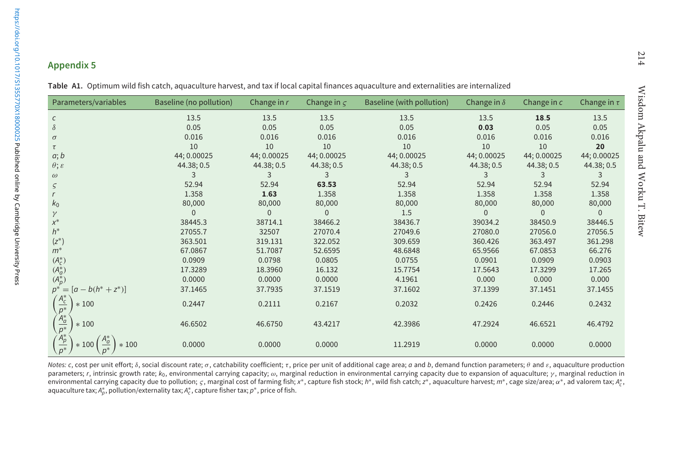|  |  |  | able A1. Optimum wild fish catch, aquaculture harvest, and tax if local capital finances aquaculture and externalities are internalized |
|--|--|--|-----------------------------------------------------------------------------------------------------------------------------------------|
|  |  |  |                                                                                                                                         |

<span id="page-16-0"></span>

| Parameters/variables                      | Baseline (no pollution) | Change in $r$ | Change in $\varsigma$ | <b>Baseline (with pollution)</b> | Change in $\delta$ | Change in $c$ | Change in $\tau$ |
|-------------------------------------------|-------------------------|---------------|-----------------------|----------------------------------|--------------------|---------------|------------------|
| $\epsilon$                                | 13.5                    | 13.5          | 13.5                  | 13.5                             | 13.5               | 18.5          | 13.5             |
| $\delta$                                  | 0.05                    | 0.05          | 0.05                  | 0.05                             | 0.03               | 0.05          | 0.05             |
| $\sigma$                                  | 0.016                   | 0.016         | 0.016                 | 0.016                            | 0.016              | 0.016         | 0.016            |
| τ                                         | 10                      | 10            | 10                    | 10                               | 10                 | 10            | 20               |
| a; b                                      | 44; 0.00025             | 44; 0.00025   | 44; 0.00025           | 44; 0.00025                      | 44; 0.00025        | 44; 0.00025   | 44; 0.00025      |
| $\theta$ ; $\varepsilon$                  | 44.38; 0.5              | 44.38; 0.5    | 44.38; 0.5            | 44.38; 0.5                       | 44.38; 0.5         | 44.38; 0.5    | 44.38; 0.5       |
| $\omega$                                  | 3                       | 3             | 3                     | 3                                | 3                  | 3             | 3                |
| $\varsigma$                               | 52.94                   | 52.94         | 63.53                 | 52.94                            | 52.94              | 52.94         | 52.94            |
|                                           | 1.358                   | 1.63          | 1.358                 | 1.358                            | 1.358              | 1.358         | 1.358            |
| $k_0$                                     | 80,000                  | 80,000        | 80,000                | 80,000                           | 80,000             | 80,000        | 80,000           |
| $\gamma$                                  | $\Omega$                | $\Omega$      | $\mathbf{0}$          | 1.5                              | $\Omega$           | $\mathbf{0}$  | $\mathbf 0$      |
| $X^*$                                     | 38445.3                 | 38714.1       | 38466.2               | 38436.7                          | 39034.2            | 38450.9       | 38446.5          |
| $h^*$                                     | 27055.7                 | 32507         | 27070.4               | 27049.6                          | 27080.0            | 27056.0       | 27056.5          |
| $(z^*)$                                   | 363.501                 | 319.131       | 322.052               | 309.659                          | 360.426            | 363.497       | 361.298          |
| $m^*$                                     | 67.0867                 | 51.7087       | 52.6595               | 48.6848                          | 65.9566            | 67.0853       | 66.276           |
| $(A_c^*)$                                 | 0.0909                  | 0.0798        | 0.0805                | 0.0755                           | 0.0901             | 0.0909        | 0.0903           |
| $(A^*_q)$                                 | 17.3289                 | 18.3960       | 16.132                | 15.7754                          | 17.5643            | 17.3299       | 17.265           |
| $(A_p^*)$                                 | 0.0000                  | 0.0000        | 0.0000                | 4.1961                           | 0.000              | 0.000         | 0.000            |
| $p^* = [a - b(h^* + z^*)]$                | 37.1465                 | 37.7935       | 37.1519               | 37.1602                          | 37.1399            | 37.1451       | 37.1455          |
| $A_c^*$<br>$*100$                         | 0.2447                  | 0.2111        | 0.2167                | 0.2032                           | 0.2426             | 0.2446        | 0.2432           |
| $\overrightarrow{A_{\alpha}^*}$<br>$*100$ | 46.6502                 | 46.6750       | 43.4217               | 42.3986                          | 47.2924            | 46.6521       | 46.4792          |
| $*100$<br>$*100$                          | 0.0000                  | 0.0000        | 0.0000                | 11.2919                          | 0.0000             | 0.0000        | 0.0000           |

<span id="page-16-1"></span>Notes: c, cost per unit effort;  $\delta$ , social discount rate;  $\sigma$ , catchability coefficient;  $\tau$ , price per unit of additional cage area; q and b, demand function parameters;  $\theta$  and  $\varepsilon$ , aquaculture production parameters; *<sup>r</sup>*, intrinsic growth rate; *k*0, environmental carrying capacity; <sup>ω</sup>, marginal reduction in environmental carrying capacity due to expansion of aquaculture; <sup>γ</sup> , marginal reduction in environmental carrying capacity due to pollution;  $\varsigma,$  marginal cost of farming fish;  $x^*$ , capture fish stock;  $h^*$ , wild fish catch;  $z^*$ , aquaculture harvest;  $m^*$ , cage size/area;  $\alpha^*$ , ad valorem tax; A $_c^*$ . aquaculture tax; *A*⋡, pollution/externality tax; *A*≵, capture fisher tax; *p*\*, price of fish.